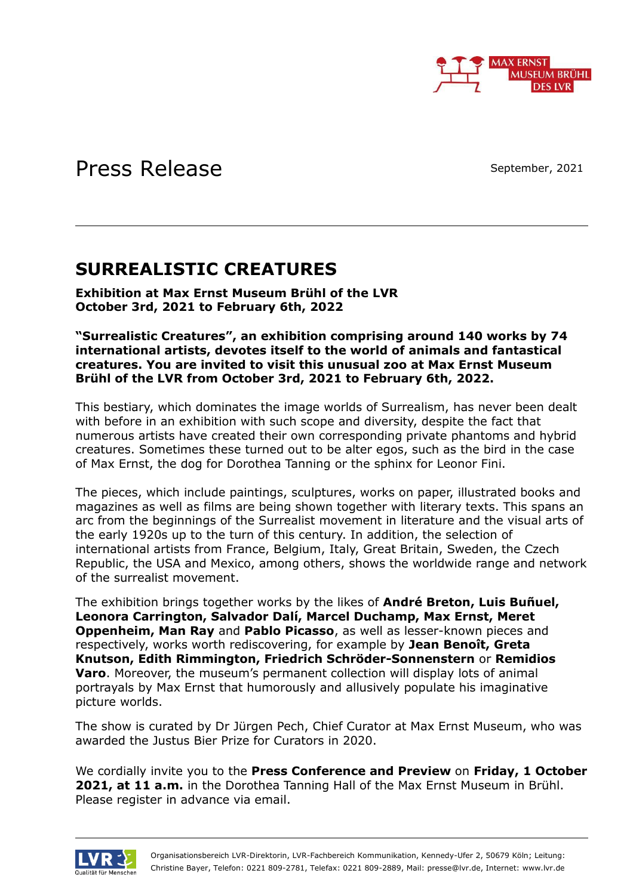

# Press Release

September, 2021

## **SURREALISTIC CREATURES**

**Exhibition at Max Ernst Museum Brühl of the LVR October 3rd, 2021 to February 6th, 2022**

**"Surrealistic Creatures", an exhibition comprising around 140 works by 74 international artists, devotes itself to the world of animals and fantastical creatures. You are invited to visit this unusual zoo at Max Ernst Museum Brühl of the LVR from October 3rd, 2021 to February 6th, 2022.**

This bestiary, which dominates the image worlds of Surrealism, has never been dealt with before in an exhibition with such scope and diversity, despite the fact that numerous artists have created their own corresponding private phantoms and hybrid creatures. Sometimes these turned out to be alter egos, such as the bird in the case of Max Ernst, the dog for Dorothea Tanning or the sphinx for Leonor Fini.

The pieces, which include paintings, sculptures, works on paper, illustrated books and magazines as well as films are being shown together with literary texts. This spans an arc from the beginnings of the Surrealist movement in literature and the visual arts of the early 1920s up to the turn of this century. In addition, the selection of international artists from France, Belgium, Italy, Great Britain, Sweden, the Czech Republic, the USA and Mexico, among others, shows the worldwide range and network of the surrealist movement.

The exhibition brings together works by the likes of **André Breton, Luis Buñuel, Leonora Carrington, Salvador Dalí, Marcel Duchamp, Max Ernst, Meret Oppenheim, Man Ray** and **Pablo Picasso**, as well as lesser-known pieces and respectively, works worth rediscovering, for example by **Jean Benoît, Greta Knutson, Edith Rimmington, Friedrich Schröder-Sonnenstern** or **Remidios Varo**. Moreover, the museum's permanent collection will display lots of animal portrayals by Max Ernst that humorously and allusively populate his imaginative picture worlds.

The show is curated by Dr Jürgen Pech, Chief Curator at Max Ernst Museum, who was awarded the Justus Bier Prize for Curators in 2020.

We cordially invite you to the **Press Conference and Preview** on **Friday, 1 October 2021, at 11 a.m.** in the Dorothea Tanning Hall of the Max Ernst Museum in Brühl. Please register in advance via email.